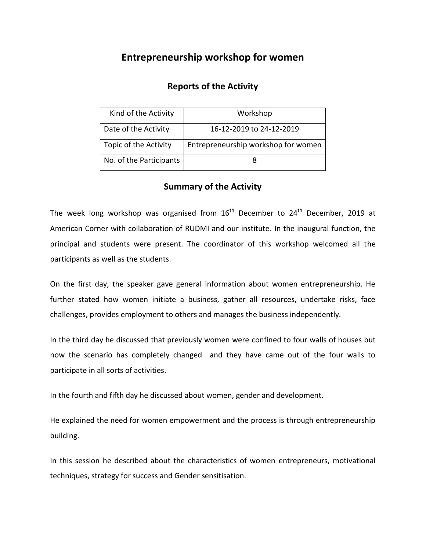## **Entrepreneurship workshop for women**

## **Reports of the Activity**

| Kind of the Activity    | Workshop                            |
|-------------------------|-------------------------------------|
| Date of the Activity    | 16-12-2019 to 24-12-2019            |
| Topic of the Activity   | Entrepreneurship workshop for women |
| No. of the Participants |                                     |

## **Summary of the Activity**

The week long workshop was organised from  $16<sup>th</sup>$  December to  $24<sup>th</sup>$  December, 2019 at American Corner with collaboration of RUDMI and our institute. In the inaugural function, the principal and students were present. The coordinator of this workshop welcomed all the participants as well as the students.

On the first day, the speaker gave general information about women entrepreneurship. He further stated how women initiate a business, gather all resources, undertake risks, face challenges, provides employment to others and manages the business independently.

In the third day he discussed that previously women were confined to four walls of houses but now the scenario has completely changed and they have came out of the four walls to participate in all sorts of activities.

In the fourth and fifth day he discussed about women, gender and development.

He explained the need for women empowerment and the process is through entrepreneurship building.

In this session he described about the characteristics of women entrepreneurs, motivational techniques, strategy for success and Gender sensitisation.